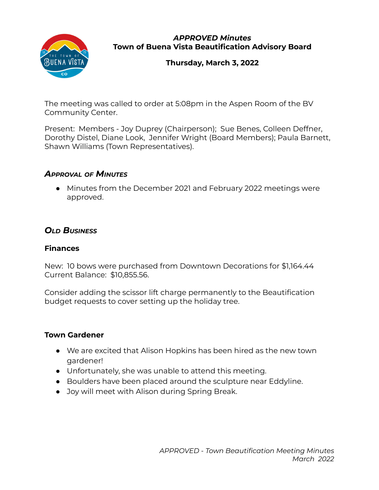

*APPROVED Minutes* **Town of Buena Vista Beautification Advisory Board**

**Thursday, March 3, 2022**

The meeting was called to order at 5:08pm in the Aspen Room of the BV Community Center.

Present: Members - Joy Duprey (Chairperson); Sue Benes, Colleen Deffner, Dorothy Distel, Diane Look, Jennifer Wright (Board Members); Paula Barnett, Shawn Williams (Town Representatives).

## *APPROVAL OF MINUTES*

● Minutes from the December 2021 and February 2022 meetings were approved.

# *OLD BUSINESS*

#### **Finances**

New: 10 bows were purchased from Downtown Decorations for \$1,164.44 Current Balance: \$10,855.56.

Consider adding the scissor lift charge permanently to the Beautification budget requests to cover setting up the holiday tree.

#### **Town Gardener**

- We are excited that Alison Hopkins has been hired as the new town gardener!
- Unfortunately, she was unable to attend this meeting.
- Boulders have been placed around the sculpture near Eddyline.
- Joy will meet with Alison during Spring Break.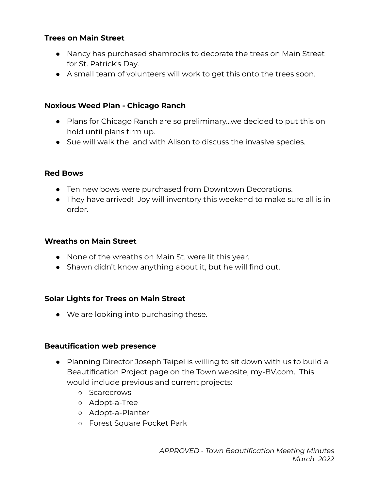### **Trees on Main Street**

- Nancy has purchased shamrocks to decorate the trees on Main Street for St. Patrick's Day.
- A small team of volunteers will work to get this onto the trees soon.

#### **Noxious Weed Plan - Chicago Ranch**

- Plans for Chicago Ranch are so preliminary...we decided to put this on hold until plans firm up.
- Sue will walk the land with Alison to discuss the invasive species.

#### **Red Bows**

- Ten new bows were purchased from Downtown Decorations.
- They have arrived! Joy will inventory this weekend to make sure all is in order.

#### **Wreaths on Main Street**

- None of the wreaths on Main St. were lit this year.
- Shawn didn't know anything about it, but he will find out.

## **Solar Lights for Trees on Main Street**

● We are looking into purchasing these.

## **Beautification web presence**

- Planning Director Joseph Teipel is willing to sit down with us to build a Beautification Project page on the Town website, my-BV.com. This would include previous and current projects:
	- Scarecrows
	- Adopt-a-Tree
	- Adopt-a-Planter
	- Forest Square Pocket Park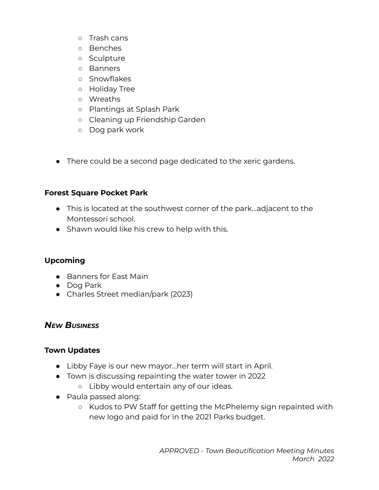- Trash cans
- Benches
- Sculpture
- Banners
- Snowflakes
- Holiday Tree
- Wreaths
- Plantings at Splash Park
- Cleaning up Friendship Garden
- Dog park work
- There could be a second page dedicated to the xeric gardens.

#### **Forest Square Pocket Park**

- This is located at the southwest corner of the park…adjacent to the Montessori school.
- Shawn would like his crew to help with this.

## **Upcoming**

- Banners for East Main
- Dog Park
- Charles Street median/park (2023)

## *NEW BUSINESS*

#### **Town Updates**

- Libby Faye is our new mayor…her term will start in April.
- Town is discussing repainting the water tower in 2022
	- Libby would entertain any of our ideas.
- Paula passed along:
	- Kudos to PW Staff for getting the McPhelemy sign repainted with new logo and paid for in the 2021 Parks budget.